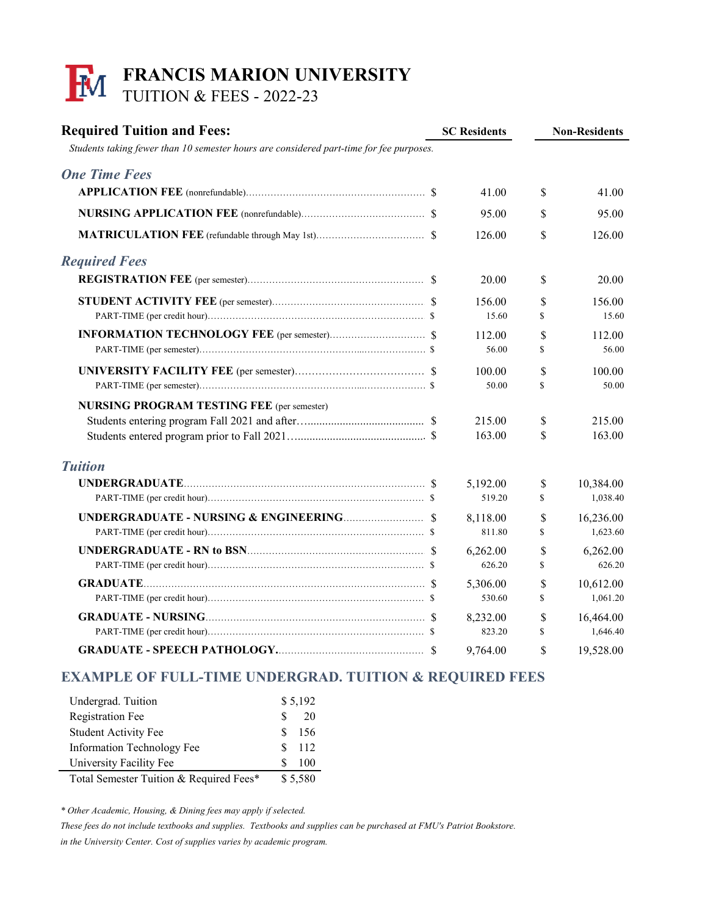## **FRANCIS MARION UNIVERSITY** TUITION & FEES - 2022-23

| <b>Required Tuition and Fees:</b><br>Students taking fewer than 10 semester hours are considered part-time for fee purposes. | <b>SC Residents</b> |          | <b>Non-Residents</b> |           |
|------------------------------------------------------------------------------------------------------------------------------|---------------------|----------|----------------------|-----------|
|                                                                                                                              |                     |          |                      |           |
| <b>One Time Fees</b>                                                                                                         |                     |          |                      |           |
|                                                                                                                              |                     | 41.00    | $\mathcal{S}$        | 41.00     |
|                                                                                                                              |                     | 95.00    | \$                   | 95.00     |
|                                                                                                                              |                     | 126.00   | \$                   | 126.00    |
| <b>Required Fees</b>                                                                                                         |                     |          |                      |           |
|                                                                                                                              |                     | 20.00    | \$                   | 20.00     |
|                                                                                                                              |                     | 156.00   | \$                   | 156.00    |
|                                                                                                                              |                     | 15.60    | \$                   | 15.60     |
|                                                                                                                              |                     | 112.00   | \$                   | 112.00    |
|                                                                                                                              |                     | 56.00    | \$                   | 56.00     |
|                                                                                                                              |                     | 100.00   | \$                   | 100.00    |
|                                                                                                                              |                     | 50.00    | \$                   | 50.00     |
| <b>NURSING PROGRAM TESTING FEE</b> (per semester)                                                                            |                     |          |                      |           |
|                                                                                                                              |                     | 215.00   | \$                   | 215.00    |
|                                                                                                                              |                     | 163.00   | \$                   | 163.00    |
| <b>Tuition</b>                                                                                                               |                     |          |                      |           |
|                                                                                                                              |                     | 5,192.00 | \$                   | 10,384.00 |
|                                                                                                                              |                     | 519.20   | \$                   | 1,038.40  |
|                                                                                                                              |                     | 8,118.00 | \$                   | 16,236.00 |
|                                                                                                                              |                     | 811.80   | \$                   | 1,623.60  |
|                                                                                                                              |                     | 6,262.00 | \$                   | 6,262.00  |
|                                                                                                                              |                     | 626.20   | \$                   | 626.20    |
|                                                                                                                              |                     | 5,306.00 | \$                   | 10,612.00 |
|                                                                                                                              |                     | 530.60   | \$                   | 1,061.20  |
|                                                                                                                              |                     | 8,232.00 | \$                   | 16,464.00 |
|                                                                                                                              |                     | 823.20   | S                    | 1,646.40  |
|                                                                                                                              |                     | 9,764.00 | \$                   | 19,528.00 |

## **EXAMPLE OF FULL-TIME UNDERGRAD. TUITION & REQUIRED FEES**

| Undergrad. Tuition                      |   | \$5,192 |  |  |
|-----------------------------------------|---|---------|--|--|
| <b>Registration Fee</b>                 | S | 20      |  |  |
| <b>Student Activity Fee</b>             | К | 156     |  |  |
| Information Technology Fee              | К | -112    |  |  |
| University Facility Fee                 | S | 100     |  |  |
| Total Semester Tuition & Required Fees* |   | \$5,580 |  |  |

*\* Other Academic, Housing, & Dining fees may apply if selected.*

*These fees do not include textbooks and supplies. Textbooks and supplies can be purchased at FMU's Patriot Bookstore.*

*in the University Center. Cost of supplies varies by academic program.*